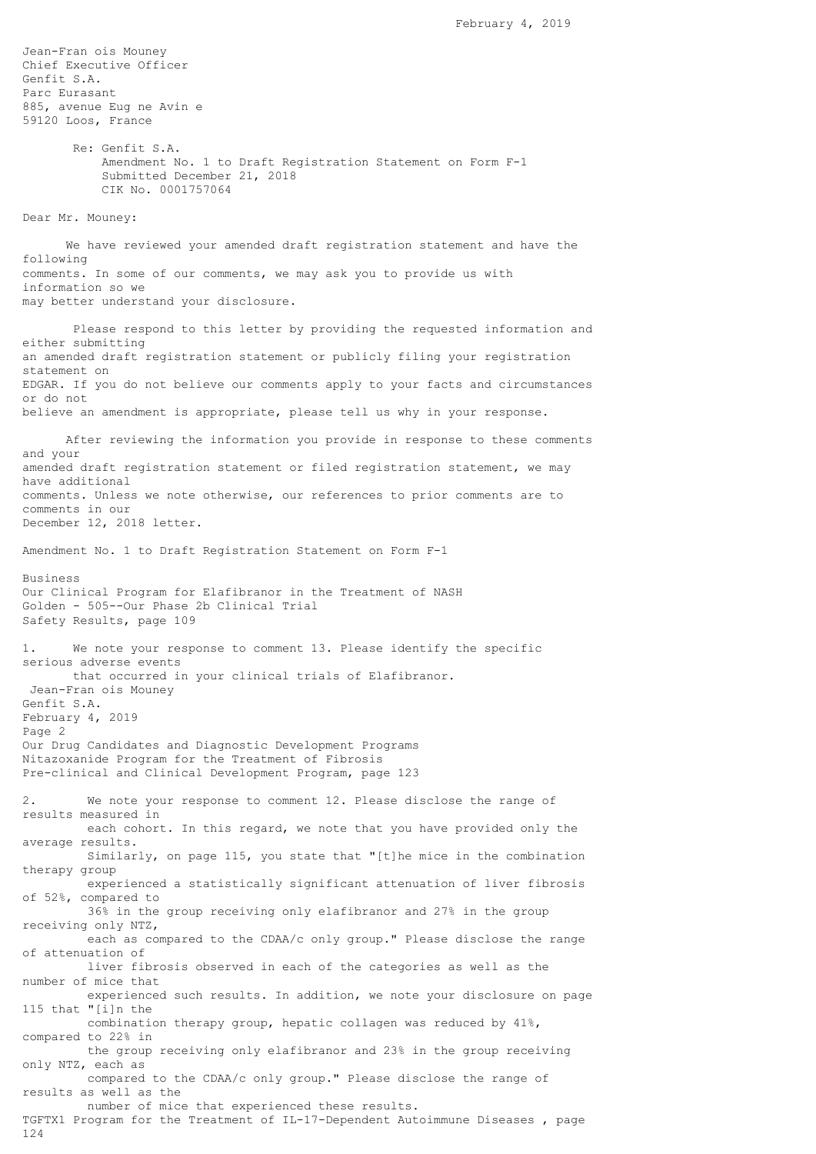Jean-Fran ois Mouney Chief Executive Officer Genfit S.A. Parc Eurasant 885, avenue Eug ne Avin e 59120 Loos, France Re: Genfit S.A. Amendment No. 1 to Draft Registration Statement on Form F-1 Submitted December 21, 2018 CIK No. 0001757064 Dear Mr. Mouney: We have reviewed your amended draft registration statement and have the following comments. In some of our comments, we may ask you to provide us with information so we may better understand your disclosure. Please respond to this letter by providing the requested information and either submitting an amended draft registration statement or publicly filing your registration statement on EDGAR. If you do not believe our comments apply to your facts and circumstances or do not believe an amendment is appropriate, please tell us why in your response. After reviewing the information you provide in response to these comments and your amended draft registration statement or filed registration statement, we may have additional comments. Unless we note otherwise, our references to prior comments are to comments in our December 12, 2018 letter. Amendment No. 1 to Draft Registration Statement on Form F-1 Business Our Clinical Program for Elafibranor in the Treatment of NASH Golden - 505--Our Phase 2b Clinical Trial Safety Results, page 109 1. We note your response to comment 13. Please identify the specific serious adverse events that occurred in your clinical trials of Elafibranor. Jean-Fran ois Mouney Genfit S.A. February 4, 2019 Page 2 Our Drug Candidates and Diagnostic Development Programs Nitazoxanide Program for the Treatment of Fibrosis Pre-clinical and Clinical Development Program, page 123 2. We note your response to comment 12. Please disclose the range of results measured in each cohort. In this regard, we note that you have provided only the average results. Similarly, on page 115, you state that "[t]he mice in the combination therapy group experienced a statistically significant attenuation of liver fibrosis of 52%, compared to 36% in the group receiving only elafibranor and 27% in the group receiving only NTZ, each as compared to the CDAA/c only group." Please disclose the range of attenuation of liver fibrosis observed in each of the categories as well as the number of mice that experienced such results. In addition, we note your disclosure on page 115 that "[i]n the combination therapy group, hepatic collagen was reduced by 41%, compared to 22% in the group receiving only elafibranor and 23% in the group receiving only NTZ, each as compared to the CDAA/c only group." Please disclose the range of results as well as the number of mice that experienced these results. TGFTX1 Program for the Treatment of IL-17-Dependent Autoimmune Diseases , page 124